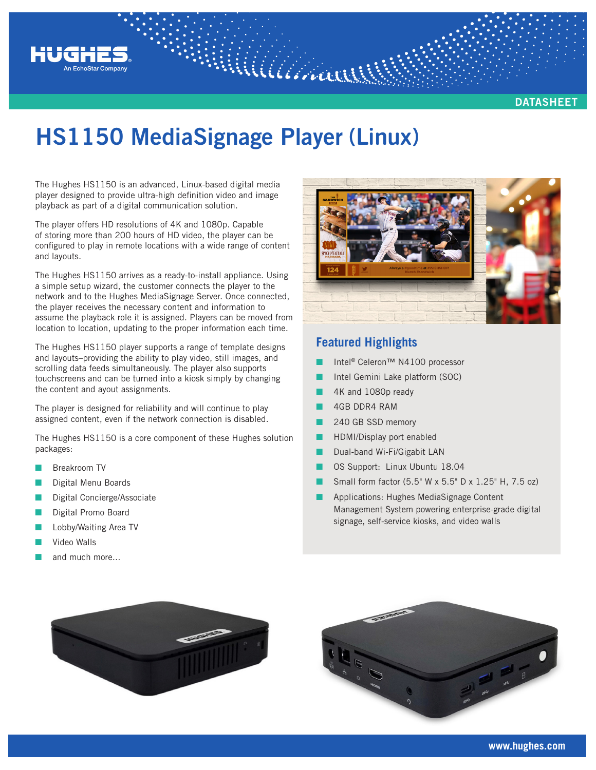

**DATASHEET**

## **HS1150 MediaSignage Player** (Linux)

Williamar

The Hughes HS1150 is an advanced, Linux-based digital media player designed to provide ultra-high definition video and image playback as part of a digital communication solution.

The player offers HD resolutions of 4K and 1080p. Capable of storing more than 200 hours of HD video, the player can be configured to play in remote locations with a wide range of content and layouts.

The Hughes HS1150 arrives as a ready-to-install appliance. Using a simple setup wizard, the customer connects the player to the network and to the Hughes MediaSignage Server. Once connected, the player receives the necessary content and information to assume the playback role it is assigned. Players can be moved from location to location, updating to the proper information each time.

The Hughes HS1150 player supports a range of template designs and layouts–providing the ability to play video, still images, and scrolling data feeds simultaneously. The player also supports touchscreens and can be turned into a kiosk simply by changing the content and ayout assignments.

The player is designed for reliability and will continue to play assigned content, even if the network connection is disabled.

The Hughes HS1150 is a core component of these Hughes solution packages:

- Q Breakroom TV
- Digital Menu Boards
- Digital Concierge/Associate
- Digital Promo Board
- Lobby/Waiting Area TV
- Video Walls
- and much more...



## **Featured Highlights**

- Intel® Celeron™ N4100 processor
- Intel Gemini Lake platform (SOC)
- 4K and 1080p ready
- 4GB DDR4 RAM
- 240 GB SSD memory
- HDMI/Display port enabled
- Dual-band Wi-Fi/Gigabit LAN
- Q OS Support: Linux Ubuntu 18.04
- Small form factor (5.5" W x 5.5" D x 1.25" H, 7.5 oz)
- Applications: Hughes MediaSignage Content Management System powering enterprise-grade digital signage, self-service kiosks, and video walls